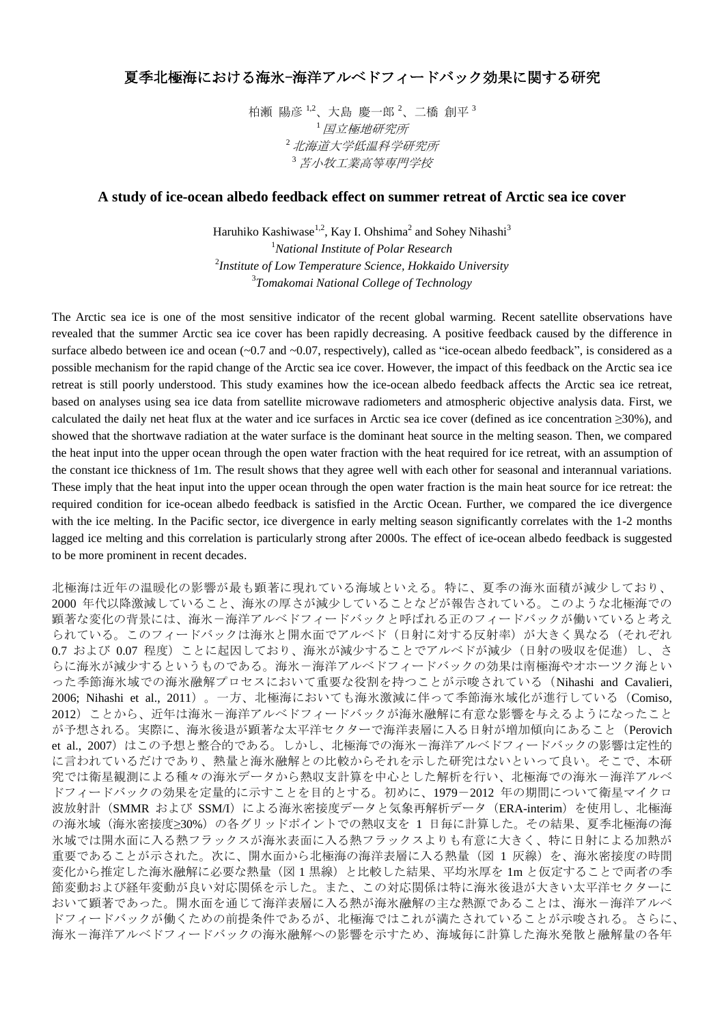## 夏季北極海における海氷-海洋アルベドフィードバック効果に関する研究

柏瀬 陽彦  $^{1,2}$ 、大島 慶一郎  $^{2}$ 、二橋 創平  $^{3}$ <sup>1</sup>国立極地研究所 <sup>2</sup>北海道大学低温科学研究所 <sup>3</sup>苫小牧工業高等専門学校

## **A study of ice-ocean albedo feedback effect on summer retreat of Arctic sea ice cover**

Haruhiko Kashiwase $^{1,2}$ , Kay I. Ohshima $^2$  and Sohey Nihashi $^3$ *National Institute of Polar Research Institute of Low Temperature Science, Hokkaido University Tomakomai National College of Technology*

The Arctic sea ice is one of the most sensitive indicator of the recent global warming. Recent satellite observations have revealed that the summer Arctic sea ice cover has been rapidly decreasing. A positive feedback caused by the difference in surface albedo between ice and ocean  $(-0.7 \text{ and } -0.07)$ , respectively), called as "ice-ocean albedo feedback", is considered as a possible mechanism for the rapid change of the Arctic sea ice cover. However, the impact of this feedback on the Arctic sea ice retreat is still poorly understood. This study examines how the ice-ocean albedo feedback affects the Arctic sea ice retreat, based on analyses using sea ice data from satellite microwave radiometers and atmospheric objective analysis data. First, we calculated the daily net heat flux at the water and ice surfaces in Arctic sea ice cover (defined as ice concentration ≥30%), and showed that the shortwave radiation at the water surface is the dominant heat source in the melting season. Then, we compared the heat input into the upper ocean through the open water fraction with the heat required for ice retreat, with an assumption of the constant ice thickness of 1m. The result shows that they agree well with each other for seasonal and interannual variations. These imply that the heat input into the upper ocean through the open water fraction is the main heat source for ice retreat: the required condition for ice-ocean albedo feedback is satisfied in the Arctic Ocean. Further, we compared the ice divergence with the ice melting. In the Pacific sector, ice divergence in early melting season significantly correlates with the 1-2 months lagged ice melting and this correlation is particularly strong after 2000s. The effect of ice-ocean albedo feedback is suggested to be more prominent in recent decades.

北極海は近年の温暖化の影響が最も顕著に現れている海域といえる。特に、夏季の海氷面積が減少しており、 2000 年代以降激減していること、海氷の厚さが減少していることなどが報告されている。このような北極海での 顕著な変化の背景には、海氷ー海洋アルベドフィードバックと呼ばれる正のフィードバックが働いていると考え られている。このフィードバックは海氷と開水面でアルベド(日射に対する反射率)が大きく異なる(それぞれ 0.7 および 0.07 程度) ことに起因しており、海氷が減少することでアルベドが減少(日射の吸収を促進)し、さ らに海氷が減少するというものである。海氷-海洋アルベドフィードバックの効果は南極海やオホーツク海とい った季節海氷域での海氷融解プロセスにおいて重要な役割を持つことが示唆されている(Nihashi and Cavalieri, 2006; Nihashi et al., 2011)。一方、北極海においても海氷激減に伴って季節海氷域化が進行している(Comiso, 2012)ことから、近年は海氷-海洋アルベドフィードバックが海氷融解に有意な影響を与えるようになったこと が予想される。実際に、海氷後退が顕著な太平洋セクターで海洋表層に入る日射が増加傾向にあること(Perovich et al., 2007)はこの予想と整合的である。しかし、北極海での海氷ー海洋アルベドフィードバックの影響は定性的 に言われているだけであり、熱量と海氷融解との比較からそれを示した研究はないといって良い。そこで、本研 究では衛星観測による種々の海氷データから熱収支計算を中心とした解析を行い、北極海での海氷ー海洋アルベ ドフィードバックの効果を定量的に示すことを目的とする。初めに、1979-2012 年の期間について衛星マイクロ 波放射計(SMMR および SSM/I)による海氷密接度データと気象再解析データ(ERA-interim)を使用し、北極海 の海氷域(海氷密接度≥30%)の各グリッドポイントでの熱収支を 1 日毎に計算した。その結果、夏季北極海の海 氷域では開水面に入る熱フラックスが海氷表面に入る熱フラックスよりも有意に大きく、特に日射による加熱が 重要であることが示された。次に、開水面から北極海の海洋表層に入る熱量(図 1 灰線)を、海氷密接度の時間 変化から推定した海氷融解に必要な熱量(図1黒線)と比較した結果、平均氷厚を 1m と仮定することで両者の季 節変動および経年変動が良い対応関係を示した。また、この対応関係は特に海氷後退が大きい太平洋セクターに おいて顕著であった。開水面を通じて海洋表層に入る熱が海氷融解の主な熱源であることは、海氷ー海洋アルベ ドフィードバックが働くための前提条件であるが、北極海ではこれが満たされていることが示唆される。さらに、 海氷-海洋アルベドフィードバックの海氷融解への影響を示すため、海域毎に計算した海氷発散と融解量の各年